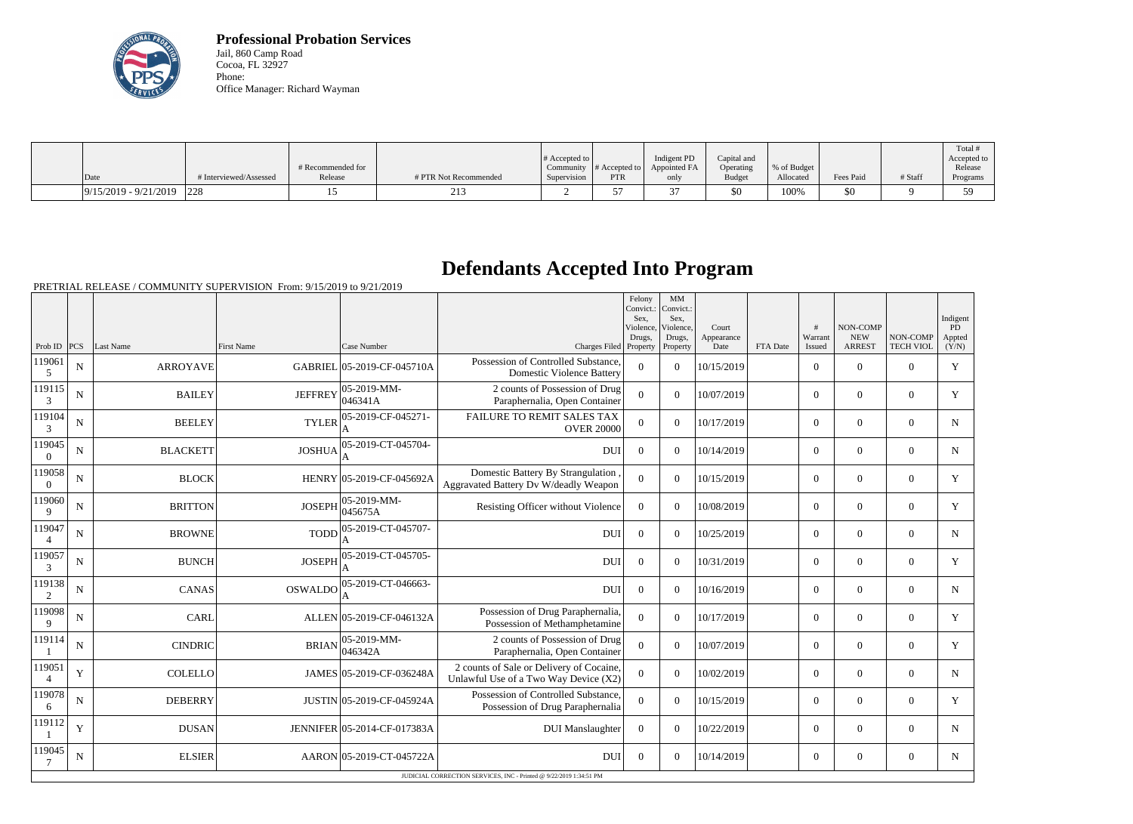

**Professional Probation Services** Jail, 860 Camp Road Cocoa, FL 32927 Phone: Office Manager: Richard Wayman

|                         |                        |                   |                       |                  |                                   |              |               |             |           |         | Total #     |
|-------------------------|------------------------|-------------------|-----------------------|------------------|-----------------------------------|--------------|---------------|-------------|-----------|---------|-------------|
|                         |                        |                   |                       | $\#$ Accepted to |                                   | Indigent PD  | Capital and   |             |           |         | Accepted to |
|                         |                        | # Recommended for |                       | Community        | $#$ Accepted to $\upharpoonright$ | Appointed FA | Operating     | % of Budget |           |         | Release     |
| $\vert$ Date            | # Interviewed/Assessed | Release           | # PTR Not Recommended | Supervision      | PTR                               | only         | <b>Budget</b> | Allocated   | Fees Paid | # Staff | Programs    |
| $9/15/2019 - 9/21/2019$ | 1228                   |                   | 21 <sup>2</sup>       |                  |                                   |              | $$^{<}$       | 100%        | 50        |         | 50          |

## **Defendants Accepted Into Program**

|                          |                                                                    |                 |                   |                             |                                                                                   | Felony<br>Convict.:<br>Sex.<br>Violence.<br>Drugs. | MM<br>Convict.:<br>Sex.<br>Violence,<br>Drugs, | Court<br>Appearance |          | #<br>Warrant   | NON-COMP<br><b>NEW</b> | NON-COMP         | Indigent<br>PD<br>Appted |
|--------------------------|--------------------------------------------------------------------|-----------------|-------------------|-----------------------------|-----------------------------------------------------------------------------------|----------------------------------------------------|------------------------------------------------|---------------------|----------|----------------|------------------------|------------------|--------------------------|
| Prob ID $ PCS $          |                                                                    | Last Name       | <b>First Name</b> | Case Number                 | Charges Filed Property                                                            |                                                    | Property                                       | Date                | FTA Date | Issued         | <b>ARREST</b>          | <b>TECH VIOL</b> | (Y/N)                    |
| 119061<br>5              | N                                                                  | <b>ARROYAVE</b> |                   | GABRIEL 05-2019-CF-045710A  | Possession of Controlled Substance,<br><b>Domestic Violence Battery</b>           | $\theta$                                           | $\Omega$                                       | 10/15/2019          |          | $\overline{0}$ | $\theta$               | $\Omega$         | Y                        |
| 119115<br>3              | N                                                                  | <b>BAILEY</b>   | <b>JEFFREY</b>    | 05-2019-MM-<br>046341A      | 2 counts of Possession of Drug<br>Paraphernalia, Open Container                   | $\Omega$                                           | $\Omega$                                       | 10/07/2019          |          | $\overline{0}$ | $\theta$               | $\overline{0}$   | Y                        |
| 119104<br>3              | $\mathbf N$                                                        | <b>BEELEY</b>   | <b>TYLER</b>      | 05-2019-CF-045271-          | FAILURE TO REMIT SALES TAX<br><b>OVER 20000</b>                                   | $\overline{0}$                                     | $\Omega$                                       | 10/17/2019          |          | $\overline{0}$ | $\overline{0}$         | $\overline{0}$   | $\mathbf N$              |
| 119045<br>$\Omega$       | ${\bf N}$                                                          | <b>BLACKETT</b> | <b>JOSHUA</b>     | 05-2019-CT-045704-          | <b>DUI</b>                                                                        | $\overline{0}$                                     | $\Omega$                                       | 10/14/2019          |          | $\overline{0}$ | $\mathbf{0}$           | $\overline{0}$   | $\mathbf N$              |
| 119058<br>$\theta$       | N                                                                  | <b>BLOCK</b>    |                   | HENRY 05-2019-CF-045692A    | Domestic Battery By Strangulation<br>Aggravated Battery Dv W/deadly Weapon        | $\overline{0}$                                     | $\overline{0}$                                 | 10/15/2019          |          | $\overline{0}$ | $\mathbf{0}$           | $\theta$         | Y                        |
| 119060<br>$\mathbf Q$    | $\mathbf N$                                                        | <b>BRITTON</b>  | <b>JOSEPH</b>     | 05-2019-MM-<br>045675A      | Resisting Officer without Violence                                                | $\overline{0}$                                     | $\Omega$                                       | 10/08/2019          |          | $\overline{0}$ | $\mathbf{0}$           | $\overline{0}$   | Y                        |
| 119047                   | N                                                                  | <b>BROWNE</b>   | <b>TODD</b>       | 05-2019-CT-045707-          | <b>DUI</b>                                                                        | $\overline{0}$                                     | $\Omega$                                       | 10/25/2019          |          | $\overline{0}$ | $\theta$               | $\theta$         | $\mathbf N$              |
| 119057<br>3              | $\mathbf N$                                                        | <b>BUNCH</b>    | <b>JOSEPH</b>     | 05-2019-CT-045705-          | <b>DUI</b>                                                                        | $\Omega$                                           | $\Omega$                                       | 10/31/2019          |          | $\overline{0}$ | $\mathbf{0}$           | $\overline{0}$   | Y                        |
| 119138<br>2              | N                                                                  | <b>CANAS</b>    | OSWALDO           | 05-2019-CT-046663-<br>А     | <b>DUI</b>                                                                        | $\mathbf{0}$                                       | $\Omega$                                       | 10/16/2019          |          | $\overline{0}$ | $\Omega$               | $\Omega$         | N                        |
| 119098<br>$\mathbf Q$    | N                                                                  | <b>CARL</b>     |                   | ALLEN 05-2019-CF-046132A    | Possession of Drug Paraphernalia,<br>Possession of Methamphetamine                | $\theta$                                           | $\Omega$                                       | 10/17/2019          |          | $\overline{0}$ | $\mathbf{0}$           | $\overline{0}$   | Y                        |
| 119114                   | N                                                                  | <b>CINDRIC</b>  | <b>BRIAN</b>      | 05-2019-MM-<br>046342A      | 2 counts of Possession of Drug<br>Paraphernalia, Open Container                   | $\overline{0}$                                     | $\overline{0}$                                 | 10/07/2019          |          | $\overline{0}$ | $\mathbf{0}$           | $\overline{0}$   | Y                        |
| 119051<br>$\overline{A}$ | Y                                                                  | <b>COLELLO</b>  |                   | JAMES 05-2019-CF-036248A    | 2 counts of Sale or Delivery of Cocaine,<br>Unlawful Use of a Two Way Device (X2) | $\overline{0}$                                     | $\Omega$                                       | 10/02/2019          |          | $\overline{0}$ | $\mathbf{0}$           | $\overline{0}$   | $\mathbf N$              |
| 119078<br>6              | $\mathbf N$                                                        | <b>DEBERRY</b>  |                   | JUSTIN 05-2019-CF-045924A   | Possession of Controlled Substance,<br>Possession of Drug Paraphernalia           | $\overline{0}$                                     | $\Omega$                                       | 10/15/2019          |          | $\overline{0}$ | $\theta$               | $\Omega$         | Y                        |
| 119112                   | $\mathbf Y$                                                        | <b>DUSAN</b>    |                   | JENNIFER 05-2014-CF-017383A | <b>DUI</b> Manslaughter                                                           | $\boldsymbol{0}$                                   | $\Omega$                                       | 10/22/2019          |          | $\overline{0}$ | $\theta$               | $\overline{0}$   | N                        |
| 119045                   | N                                                                  | <b>ELSIER</b>   |                   | AARON 05-2019-CT-045722A    | <b>DUI</b>                                                                        | $\Omega$                                           | $\Omega$                                       | 10/14/2019          |          | $\overline{0}$ | $\theta$               | $\Omega$         | $\mathbf N$              |
|                          | JUDICIAL CORRECTION SERVICES, INC - Printed @ 9/22/2019 1:34:51 PM |                 |                   |                             |                                                                                   |                                                    |                                                |                     |          |                |                        |                  |                          |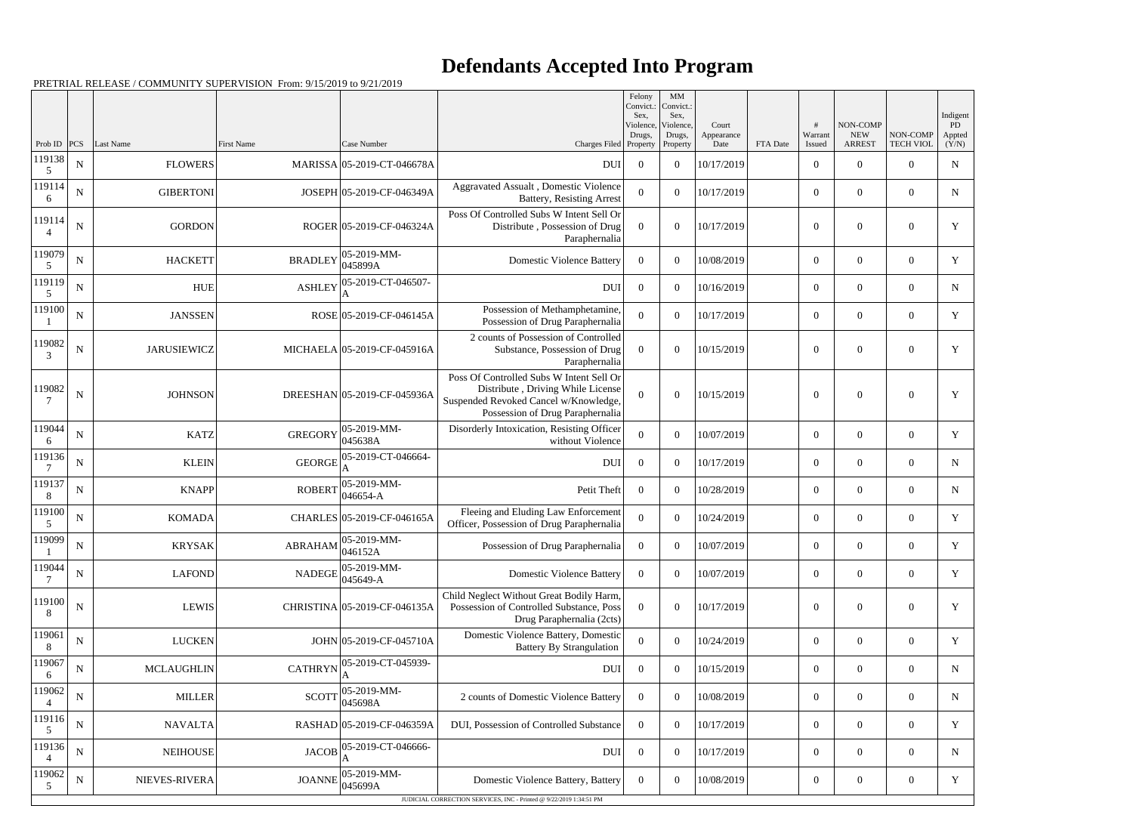## **Defendants Accepted Into Program**

| Prob ID $ PCS $<br><b>ARREST</b><br><b>TECH VIOL</b><br>Last Name<br><b>First Name</b><br>Case Number<br>Charges Filed<br>Property<br>FTA Date<br>Property<br>Date<br>Issued<br>119138<br>${\bf N}$<br><b>FLOWERS</b><br>MARISSA 05-2019-CT-046678A<br>$\overline{0}$<br>10/17/2019<br>$\overline{0}$<br>$\overline{0}$<br>$\Omega$<br><b>DUI</b><br>$\overline{0}$<br>5<br>119114<br>Aggravated Assualt, Domestic Violence<br>${\bf N}$<br><b>GIBERTONI</b><br>JOSEPH 05-2019-CF-046349A<br>$\theta$<br>$\overline{0}$<br>$\Omega$<br>10/17/2019<br>$\overline{0}$<br>$\overline{0}$<br><b>Battery, Resisting Arrest</b><br>6<br>Poss Of Controlled Subs W Intent Sell Or<br>119114<br>${\bf N}$<br><b>GORDON</b><br>ROGER 05-2019-CF-046324A<br>$\Omega$<br>$\theta$<br>$\Omega$<br>10/17/2019<br>$\overline{0}$<br>$\Omega$<br>Distribute, Possession of Drug<br>$\overline{4}$<br>Paraphernalia<br>119079<br>05-2019-MM-<br><b>BRADLEY</b><br>${\bf N}$<br><b>HACKETT</b><br><b>Domestic Violence Battery</b><br>10/08/2019<br>$\overline{0}$<br>$\theta$<br>$\overline{0}$<br>$\overline{0}$<br>$\Omega$<br>045899A<br>5<br>119119<br>05-2019-CT-046507-<br><b>ASHLEY</b><br>${\bf N}$<br><b>HUE</b><br>$\Omega$<br><b>DUI</b><br>$\overline{0}$<br>$\theta$<br>10/16/2019<br>$\overline{0}$<br>$\overline{0}$<br>5<br>119100<br>Possession of Methamphetamine,<br>${\bf N}$<br>ROSE 05-2019-CF-046145A<br><b>JANSSEN</b><br>$\theta$<br>10/17/2019<br>$\overline{0}$<br>$\overline{0}$<br>$\overline{0}$<br>$\Omega$<br>Possession of Drug Paraphernalia<br>2 counts of Possession of Controlled<br>119082<br>${\bf N}$<br><b>JARUSIEWICZ</b><br>MICHAELA 05-2019-CF-045916A<br>$\theta$<br>$\theta$<br>Substance, Possession of Drug<br>$\theta$<br>10/15/2019<br>$\overline{0}$<br>$\overline{0}$<br>3<br>Paraphernalia<br>Poss Of Controlled Subs W Intent Sell Or<br>119082<br>Distribute, Driving While License<br>${\bf N}$<br><b>JOHNSON</b><br>DREESHAN 05-2019-CF-045936A<br>$\Omega$<br>$\theta$<br>10/15/2019<br>$\overline{0}$<br>$\theta$<br>$\overline{0}$<br>Suspended Revoked Cancel w/Knowledge,<br>Possession of Drug Paraphernalia<br>119044<br>05-2019-MM-<br>Disorderly Intoxication, Resisting Officer<br><b>KATZ</b><br><b>GREGORY</b><br>${\bf N}$<br>$\theta$<br>$\boldsymbol{0}$<br>10/07/2019<br>$\boldsymbol{0}$<br>$\overline{0}$<br>$\overline{0}$<br>045638A<br>without Violence<br>6<br>119136<br>05-2019-CT-046664-<br><b>GEORGE</b><br>${\bf N}$<br><b>KLEIN</b><br><b>DUI</b><br>$\overline{0}$<br>10/17/2019<br>$\mathbf{0}$<br>$\overline{0}$<br>$\overline{0}$<br>$\overline{0}$<br>119137<br>05-2019-MM-<br>${\bf N}$<br><b>KNAPP</b><br><b>ROBERT</b><br>Petit Theft<br>$\theta$<br>$\overline{0}$<br>$\overline{0}$<br>10/28/2019<br>$\overline{0}$<br>$\overline{0}$<br>046654-A<br>8 | Indigent<br>PD<br>Appted |
|---------------------------------------------------------------------------------------------------------------------------------------------------------------------------------------------------------------------------------------------------------------------------------------------------------------------------------------------------------------------------------------------------------------------------------------------------------------------------------------------------------------------------------------------------------------------------------------------------------------------------------------------------------------------------------------------------------------------------------------------------------------------------------------------------------------------------------------------------------------------------------------------------------------------------------------------------------------------------------------------------------------------------------------------------------------------------------------------------------------------------------------------------------------------------------------------------------------------------------------------------------------------------------------------------------------------------------------------------------------------------------------------------------------------------------------------------------------------------------------------------------------------------------------------------------------------------------------------------------------------------------------------------------------------------------------------------------------------------------------------------------------------------------------------------------------------------------------------------------------------------------------------------------------------------------------------------------------------------------------------------------------------------------------------------------------------------------------------------------------------------------------------------------------------------------------------------------------------------------------------------------------------------------------------------------------------------------------------------------------------------------------------------------------------------------------------------------------------------------------------------------------------------------------------------------------------------------------------------------------------------------------------------------------------------------------------------------------------------------------------------------------------------------------------------------------------------------------|--------------------------|
|                                                                                                                                                                                                                                                                                                                                                                                                                                                                                                                                                                                                                                                                                                                                                                                                                                                                                                                                                                                                                                                                                                                                                                                                                                                                                                                                                                                                                                                                                                                                                                                                                                                                                                                                                                                                                                                                                                                                                                                                                                                                                                                                                                                                                                                                                                                                                                                                                                                                                                                                                                                                                                                                                                                                                                                                                                       | (Y/N)<br>N               |
|                                                                                                                                                                                                                                                                                                                                                                                                                                                                                                                                                                                                                                                                                                                                                                                                                                                                                                                                                                                                                                                                                                                                                                                                                                                                                                                                                                                                                                                                                                                                                                                                                                                                                                                                                                                                                                                                                                                                                                                                                                                                                                                                                                                                                                                                                                                                                                                                                                                                                                                                                                                                                                                                                                                                                                                                                                       | $\mathbf N$              |
|                                                                                                                                                                                                                                                                                                                                                                                                                                                                                                                                                                                                                                                                                                                                                                                                                                                                                                                                                                                                                                                                                                                                                                                                                                                                                                                                                                                                                                                                                                                                                                                                                                                                                                                                                                                                                                                                                                                                                                                                                                                                                                                                                                                                                                                                                                                                                                                                                                                                                                                                                                                                                                                                                                                                                                                                                                       | Y                        |
|                                                                                                                                                                                                                                                                                                                                                                                                                                                                                                                                                                                                                                                                                                                                                                                                                                                                                                                                                                                                                                                                                                                                                                                                                                                                                                                                                                                                                                                                                                                                                                                                                                                                                                                                                                                                                                                                                                                                                                                                                                                                                                                                                                                                                                                                                                                                                                                                                                                                                                                                                                                                                                                                                                                                                                                                                                       | Y                        |
|                                                                                                                                                                                                                                                                                                                                                                                                                                                                                                                                                                                                                                                                                                                                                                                                                                                                                                                                                                                                                                                                                                                                                                                                                                                                                                                                                                                                                                                                                                                                                                                                                                                                                                                                                                                                                                                                                                                                                                                                                                                                                                                                                                                                                                                                                                                                                                                                                                                                                                                                                                                                                                                                                                                                                                                                                                       | N                        |
|                                                                                                                                                                                                                                                                                                                                                                                                                                                                                                                                                                                                                                                                                                                                                                                                                                                                                                                                                                                                                                                                                                                                                                                                                                                                                                                                                                                                                                                                                                                                                                                                                                                                                                                                                                                                                                                                                                                                                                                                                                                                                                                                                                                                                                                                                                                                                                                                                                                                                                                                                                                                                                                                                                                                                                                                                                       | Y                        |
|                                                                                                                                                                                                                                                                                                                                                                                                                                                                                                                                                                                                                                                                                                                                                                                                                                                                                                                                                                                                                                                                                                                                                                                                                                                                                                                                                                                                                                                                                                                                                                                                                                                                                                                                                                                                                                                                                                                                                                                                                                                                                                                                                                                                                                                                                                                                                                                                                                                                                                                                                                                                                                                                                                                                                                                                                                       | Y                        |
|                                                                                                                                                                                                                                                                                                                                                                                                                                                                                                                                                                                                                                                                                                                                                                                                                                                                                                                                                                                                                                                                                                                                                                                                                                                                                                                                                                                                                                                                                                                                                                                                                                                                                                                                                                                                                                                                                                                                                                                                                                                                                                                                                                                                                                                                                                                                                                                                                                                                                                                                                                                                                                                                                                                                                                                                                                       | Y                        |
|                                                                                                                                                                                                                                                                                                                                                                                                                                                                                                                                                                                                                                                                                                                                                                                                                                                                                                                                                                                                                                                                                                                                                                                                                                                                                                                                                                                                                                                                                                                                                                                                                                                                                                                                                                                                                                                                                                                                                                                                                                                                                                                                                                                                                                                                                                                                                                                                                                                                                                                                                                                                                                                                                                                                                                                                                                       | Y                        |
|                                                                                                                                                                                                                                                                                                                                                                                                                                                                                                                                                                                                                                                                                                                                                                                                                                                                                                                                                                                                                                                                                                                                                                                                                                                                                                                                                                                                                                                                                                                                                                                                                                                                                                                                                                                                                                                                                                                                                                                                                                                                                                                                                                                                                                                                                                                                                                                                                                                                                                                                                                                                                                                                                                                                                                                                                                       | N                        |
|                                                                                                                                                                                                                                                                                                                                                                                                                                                                                                                                                                                                                                                                                                                                                                                                                                                                                                                                                                                                                                                                                                                                                                                                                                                                                                                                                                                                                                                                                                                                                                                                                                                                                                                                                                                                                                                                                                                                                                                                                                                                                                                                                                                                                                                                                                                                                                                                                                                                                                                                                                                                                                                                                                                                                                                                                                       | N                        |
| 119100<br>Fleeing and Eluding Law Enforcement<br>${\bf N}$<br>CHARLES 05-2019-CF-046165A<br><b>KOMADA</b><br>$\Omega$<br>$\theta$<br>10/24/2019<br>$\overline{0}$<br>$\overline{0}$<br>$\Omega$<br>Officer, Possession of Drug Paraphernalia<br>5                                                                                                                                                                                                                                                                                                                                                                                                                                                                                                                                                                                                                                                                                                                                                                                                                                                                                                                                                                                                                                                                                                                                                                                                                                                                                                                                                                                                                                                                                                                                                                                                                                                                                                                                                                                                                                                                                                                                                                                                                                                                                                                                                                                                                                                                                                                                                                                                                                                                                                                                                                                     | Y                        |
| 119099<br>ABRAHAM $\begin{array}{ l} 05\text{-}2019\text{-}MM\text{-} \\ 046152A \end{array}$<br><b>KRYSAK</b><br>10/07/2019<br>N<br>Possession of Drug Paraphernalia<br>$\overline{0}$<br>$\theta$<br>$\overline{0}$<br>$\Omega$<br>$\overline{0}$<br>$\mathbf{I}$                                                                                                                                                                                                                                                                                                                                                                                                                                                                                                                                                                                                                                                                                                                                                                                                                                                                                                                                                                                                                                                                                                                                                                                                                                                                                                                                                                                                                                                                                                                                                                                                                                                                                                                                                                                                                                                                                                                                                                                                                                                                                                                                                                                                                                                                                                                                                                                                                                                                                                                                                                   | Y                        |
| 119044<br>05-2019-MM-<br><b>LAFOND</b><br><b>NADEGE</b><br>${\bf N}$<br><b>Domestic Violence Battery</b><br>$\boldsymbol{0}$<br>10/07/2019<br>$\overline{0}$<br>$\overline{0}$<br>$\overline{0}$<br>$\overline{0}$<br>045649-A                                                                                                                                                                                                                                                                                                                                                                                                                                                                                                                                                                                                                                                                                                                                                                                                                                                                                                                                                                                                                                                                                                                                                                                                                                                                                                                                                                                                                                                                                                                                                                                                                                                                                                                                                                                                                                                                                                                                                                                                                                                                                                                                                                                                                                                                                                                                                                                                                                                                                                                                                                                                        | Y                        |
| Child Neglect Without Great Bodily Harm,<br>119100<br>${\bf N}$<br><b>LEWIS</b><br>CHRISTINA 05-2019-CF-046135A<br>Possession of Controlled Substance, Poss<br>$\Omega$<br>$\boldsymbol{0}$<br>$\overline{0}$<br>10/17/2019<br>$\mathbf{0}$<br>$\boldsymbol{0}$<br>8<br>Drug Paraphernalia (2cts)                                                                                                                                                                                                                                                                                                                                                                                                                                                                                                                                                                                                                                                                                                                                                                                                                                                                                                                                                                                                                                                                                                                                                                                                                                                                                                                                                                                                                                                                                                                                                                                                                                                                                                                                                                                                                                                                                                                                                                                                                                                                                                                                                                                                                                                                                                                                                                                                                                                                                                                                     | Y                        |
| 119061<br>Domestic Violence Battery, Domestic<br>${\bf N}$<br><b>LUCKEN</b><br>JOHN 05-2019-CF-045710A<br>$\boldsymbol{0}$<br>$\overline{0}$<br>$\theta$<br>10/24/2019<br>$\overline{0}$<br>$\overline{0}$<br><b>Battery By Strangulation</b><br>8                                                                                                                                                                                                                                                                                                                                                                                                                                                                                                                                                                                                                                                                                                                                                                                                                                                                                                                                                                                                                                                                                                                                                                                                                                                                                                                                                                                                                                                                                                                                                                                                                                                                                                                                                                                                                                                                                                                                                                                                                                                                                                                                                                                                                                                                                                                                                                                                                                                                                                                                                                                    | Y                        |
| 119067<br>05-2019-CT-045939-<br><b>CATHRYN</b><br>${\bf N}$<br><b>MCLAUGHLIN</b><br><b>DUI</b><br>$\mathbf{0}$<br>$\boldsymbol{0}$<br>$\boldsymbol{0}$<br>10/15/2019<br>$\boldsymbol{0}$<br>$\overline{0}$<br>6                                                                                                                                                                                                                                                                                                                                                                                                                                                                                                                                                                                                                                                                                                                                                                                                                                                                                                                                                                                                                                                                                                                                                                                                                                                                                                                                                                                                                                                                                                                                                                                                                                                                                                                                                                                                                                                                                                                                                                                                                                                                                                                                                                                                                                                                                                                                                                                                                                                                                                                                                                                                                       | N                        |
| 119062<br>05-2019-MM-<br><b>SCOTT</b><br>${\bf N}$<br><b>MILLER</b><br>2 counts of Domestic Violence Battery<br>$\boldsymbol{0}$<br>10/08/2019<br>$\boldsymbol{0}$<br>$\overline{0}$<br>$\overline{0}$<br>$\overline{0}$<br>045698A<br>4                                                                                                                                                                                                                                                                                                                                                                                                                                                                                                                                                                                                                                                                                                                                                                                                                                                                                                                                                                                                                                                                                                                                                                                                                                                                                                                                                                                                                                                                                                                                                                                                                                                                                                                                                                                                                                                                                                                                                                                                                                                                                                                                                                                                                                                                                                                                                                                                                                                                                                                                                                                              | N                        |
| 119116<br>${\bf N}$<br><b>NAVALTA</b><br>RASHAD 05-2019-CF-046359A<br>DUI, Possession of Controlled Substance<br>$\boldsymbol{0}$<br>10/17/2019<br>$\boldsymbol{0}$<br>$\overline{0}$<br>$\Omega$<br>$\overline{0}$<br>5                                                                                                                                                                                                                                                                                                                                                                                                                                                                                                                                                                                                                                                                                                                                                                                                                                                                                                                                                                                                                                                                                                                                                                                                                                                                                                                                                                                                                                                                                                                                                                                                                                                                                                                                                                                                                                                                                                                                                                                                                                                                                                                                                                                                                                                                                                                                                                                                                                                                                                                                                                                                              | Y                        |
| 119136<br>05-2019-CT-046666-<br><b>JACOB</b><br>${\bf N}$<br><b>NEIHOUSE</b><br>$\boldsymbol{0}$<br><b>DUI</b><br>$\overline{0}$<br>10/17/2019<br>$\mathbf{0}$<br>$\boldsymbol{0}$<br>$\overline{0}$                                                                                                                                                                                                                                                                                                                                                                                                                                                                                                                                                                                                                                                                                                                                                                                                                                                                                                                                                                                                                                                                                                                                                                                                                                                                                                                                                                                                                                                                                                                                                                                                                                                                                                                                                                                                                                                                                                                                                                                                                                                                                                                                                                                                                                                                                                                                                                                                                                                                                                                                                                                                                                  | N                        |
| 119062<br>05-2019-MM-<br>NIEVES-RIVERA<br><b>JOANNE</b><br>$\boldsymbol{0}$<br>$\boldsymbol{0}$<br>N<br>Domestic Violence Battery, Battery<br>$\overline{0}$<br>10/08/2019<br>$\overline{0}$<br>$\overline{0}$<br>045699A<br>5<br>JUDICIAL CORRECTION SERVICES, INC - Printed @ 9/22/2019 1:34:51 PM                                                                                                                                                                                                                                                                                                                                                                                                                                                                                                                                                                                                                                                                                                                                                                                                                                                                                                                                                                                                                                                                                                                                                                                                                                                                                                                                                                                                                                                                                                                                                                                                                                                                                                                                                                                                                                                                                                                                                                                                                                                                                                                                                                                                                                                                                                                                                                                                                                                                                                                                  | Y                        |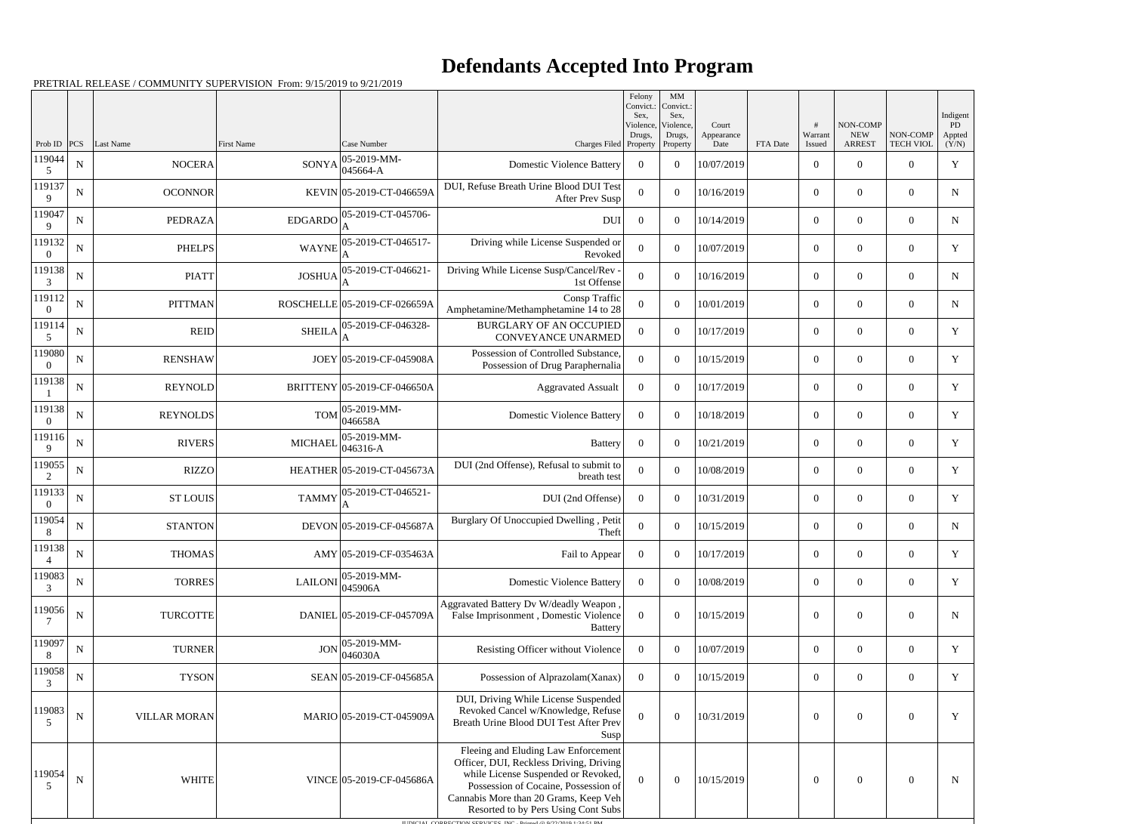## **Defendants Accepted Into Program**

|                       |             |                     |                   |                                                                                                     |                                                                                                                                                                                                                                                                                                                    | Felony<br>Convict.:<br>Sex. | MM<br>Convict.:<br>Sex,         |                             |          |                        |                                         |                              | Indigent              |
|-----------------------|-------------|---------------------|-------------------|-----------------------------------------------------------------------------------------------------|--------------------------------------------------------------------------------------------------------------------------------------------------------------------------------------------------------------------------------------------------------------------------------------------------------------------|-----------------------------|---------------------------------|-----------------------------|----------|------------------------|-----------------------------------------|------------------------------|-----------------------|
| Prob ID               | PCS         | <b>Last Name</b>    | <b>First Name</b> | Case Number                                                                                         | Charges Filed Property                                                                                                                                                                                                                                                                                             | Violence,<br>Drugs,         | Violence,<br>Drugs,<br>Property | Court<br>Appearance<br>Date | FTA Date | #<br>Warrant<br>Issued | NON-COMP<br><b>NEW</b><br><b>ARREST</b> | NON-COMP<br><b>TECH VIOL</b> | PD<br>Appted<br>(Y/N) |
| 119044                | $\mathbf N$ | <b>NOCERA</b>       |                   | $05-2019-MM$ -<br>$SONYA _{045664-A}^{065}$                                                         | <b>Domestic Violence Battery</b>                                                                                                                                                                                                                                                                                   | $\theta$                    | $\overline{0}$                  | 10/07/2019                  |          | $\overline{0}$         | 0                                       | $\mathbf{0}$                 | Y                     |
| 119137<br>9           | $\mathbf N$ | <b>OCONNOR</b>      |                   | KEVIN 05-2019-CT-046659A                                                                            | DUI, Refuse Breath Urine Blood DUI Test<br>After Prev Susp                                                                                                                                                                                                                                                         | $\Omega$                    | $\theta$                        | 10/16/2019                  |          | $\overline{0}$         | $\overline{0}$                          | $\overline{0}$               | $\mathbf N$           |
| 119047<br>$\mathbf Q$ | N           | PEDRAZA             |                   | $\mbox{EDGARDO}\Big ^{05\text{-}2019\text{-}\mathrm{CT-}045706\text{-}}_{\color{red}\text{A}}$<br>A | <b>DUI</b>                                                                                                                                                                                                                                                                                                         | $\Omega$                    | $\theta$                        | 10/14/2019                  |          | $\overline{0}$         | $\overline{0}$                          | $\mathbf{0}$                 | $\mathbf N$           |
| 119132                | N           | <b>PHELPS</b>       |                   | WAYNE 05-2019-CT-046517-                                                                            | Driving while License Suspended or<br>Revoked                                                                                                                                                                                                                                                                      | $\Omega$                    | $\theta$                        | 10/07/2019                  |          | $\overline{0}$         | $\Omega$                                | $\overline{0}$               | Y                     |
| 119138<br>3           | N           | <b>PIATT</b>        |                   | JOSHUA 05-2019-CT-046621-                                                                           | Driving While License Susp/Cancel/Rev<br>1st Offense                                                                                                                                                                                                                                                               | $\Omega$                    | $\theta$                        | 10/16/2019                  |          | $\overline{0}$         | $\Omega$                                | $\mathbf{0}$                 | $\mathbf N$           |
| 119112<br>$\left($    | N           | <b>PITTMAN</b>      |                   | ROSCHELLE 05-2019-CF-026659A                                                                        | Consp Traffic<br>Amphetamine/Methamphetamine 14 to 28                                                                                                                                                                                                                                                              | $\Omega$                    | $\theta$                        | 10/01/2019                  |          | $\boldsymbol{0}$       | $\overline{0}$                          | $\mathbf{0}$                 | $\mathbf N$           |
| 119114<br>5           | $\mathbf N$ | <b>REID</b>         | <b>SHEILA</b>     | 05-2019-CF-046328-                                                                                  | <b>BURGLARY OF AN OCCUPIED</b><br><b>CONVEYANCE UNARMED</b>                                                                                                                                                                                                                                                        | $\Omega$                    | $\theta$                        | 10/17/2019                  |          | $\overline{0}$         | $\overline{0}$                          | $\overline{0}$               | Y                     |
| 119080<br>$\Omega$    | N           | <b>RENSHAW</b>      |                   | JOEY 05-2019-CF-045908A                                                                             | Possession of Controlled Substance.<br>Possession of Drug Paraphernalia                                                                                                                                                                                                                                            | $\Omega$                    | $\Omega$                        | 10/15/2019                  |          | $\overline{0}$         | $\overline{0}$                          | $\overline{0}$               | Y                     |
| 119138                | N           | <b>REYNOLD</b>      |                   | BRITTENY 05-2019-CF-046650A                                                                         | <b>Aggravated Assualt</b>                                                                                                                                                                                                                                                                                          | $\Omega$                    | $\theta$                        | 10/17/2019                  |          | $\overline{0}$         | $\Omega$                                | $\overline{0}$               | Y                     |
| 119138<br>$\Omega$    | N           | <b>REYNOLDS</b>     |                   | $TOM$ 05-2019-MM-<br>046658A                                                                        | <b>Domestic Violence Battery</b>                                                                                                                                                                                                                                                                                   | $\theta$                    | $\theta$                        | 10/18/2019                  |          | $\boldsymbol{0}$       | $\overline{0}$                          | $\overline{0}$               | Y                     |
| 119116<br>q           | N           | <b>RIVERS</b>       | <b>MICHAEL</b>    | 05-2019-MM-<br>$046316 - A$                                                                         | Battery                                                                                                                                                                                                                                                                                                            | $\theta$                    | $\overline{0}$                  | 10/21/2019                  |          | $\overline{0}$         | $\overline{0}$                          | $\overline{0}$               | Y                     |
| 119055<br>2           | N           | <b>RIZZO</b>        |                   | HEATHER 05-2019-CT-045673A                                                                          | DUI (2nd Offense), Refusal to submit to<br>breath test                                                                                                                                                                                                                                                             | $\Omega$                    | $\theta$                        | 10/08/2019                  |          | $\overline{0}$         | $\overline{0}$                          | $\overline{0}$               | Y                     |
| 119133                | N           | <b>ST LOUIS</b>     | <b>TAMMY</b>      | 05-2019-CT-046521-<br>А                                                                             | DUI (2nd Offense)                                                                                                                                                                                                                                                                                                  | $\Omega$                    | $\theta$                        | 10/31/2019                  |          | $\overline{0}$         | 0                                       | $\overline{0}$               | Y                     |
| 119054                | $\mathbf N$ | <b>STANTON</b>      |                   | DEVON 05-2019-CF-045687A                                                                            | Burglary Of Unoccupied Dwelling, Petit<br>Theft                                                                                                                                                                                                                                                                    | $\Omega$                    | $\theta$                        | 10/15/2019                  |          | $\overline{0}$         | $\boldsymbol{0}$                        | $\overline{0}$               | $\mathbf N$           |
| 119138                | $\mathbf N$ | <b>THOMAS</b>       |                   | AMY 05-2019-CF-035463A                                                                              | Fail to Appear                                                                                                                                                                                                                                                                                                     | $\boldsymbol{0}$            | $\boldsymbol{0}$                | 10/17/2019                  |          | $\mathbf{0}$           | $\mathbf{0}$                            | $\overline{0}$               | Y                     |
| 119083<br>3           | $\mathbf N$ | <b>TORRES</b>       |                   | $LAILONI$ 05-2019-MM-<br>045906A                                                                    | <b>Domestic Violence Battery</b>                                                                                                                                                                                                                                                                                   | $\overline{0}$              | $\overline{0}$                  | 10/08/2019                  |          | $\boldsymbol{0}$       | $\mathbf{0}$                            | $\overline{0}$               | Y                     |
| 119056                | $\mathbf N$ | <b>TURCOTTE</b>     |                   | DANIEL 05-2019-CF-045709A                                                                           | Aggravated Battery Dv W/deadly Weapon<br>False Imprisonment, Domestic Violence<br><b>Battery</b>                                                                                                                                                                                                                   | $\Omega$                    | $\overline{0}$                  | 10/15/2019                  |          | $\overline{0}$         | $\overline{0}$                          | $\boldsymbol{0}$             | $\mathbf N$           |
| 119097                | N           | <b>TURNER</b>       | JON               | 05-2019-MM-<br>046030A                                                                              | Resisting Officer without Violence                                                                                                                                                                                                                                                                                 | $\overline{0}$              | $\Omega$                        | 10/07/2019                  |          | $\overline{0}$         | $\overline{0}$                          | $\overline{0}$               | $\mathbf Y$           |
| 119058<br>3           | N           | <b>TYSON</b>        |                   | SEAN 05-2019-CF-045685A                                                                             | Possession of Alprazolam(Xanax)                                                                                                                                                                                                                                                                                    | $\overline{0}$              | $\overline{0}$                  | 10/15/2019                  |          | $\overline{0}$         | $\overline{0}$                          | $\overline{0}$               | Y                     |
| 119083<br>5           | $\mathbf N$ | <b>VILLAR MORAN</b> |                   | MARIO 05-2019-CT-045909A                                                                            | DUI, Driving While License Suspended<br>Revoked Cancel w/Knowledge, Refuse<br>Breath Urine Blood DUI Test After Prev<br>Susp                                                                                                                                                                                       |                             | $\overline{0}$                  | 10/31/2019                  |          | $\overline{0}$         | $\overline{0}$                          | $\boldsymbol{0}$             | Y                     |
| 119054<br>5           | ${\bf N}$   | <b>WHITE</b>        |                   | VINCE 05-2019-CF-045686A                                                                            | Fleeing and Eluding Law Enforcement<br>Officer, DUI, Reckless Driving, Driving<br>while License Suspended or Revoked,<br>Possession of Cocaine, Possession of<br>Cannabis More than 20 Grams, Keep Veh<br>Resorted to by Pers Using Cont Subs<br>HIDICIAL CORRECTION SERVICES, INC., Printed @ 0/2/2010 1:34:51 PM | $\Omega$                    | $\overline{0}$                  | 10/15/2019                  |          | $\boldsymbol{0}$       | $\mathbf{0}$                            | $\mathbf{0}$                 | $\mathbf N$           |